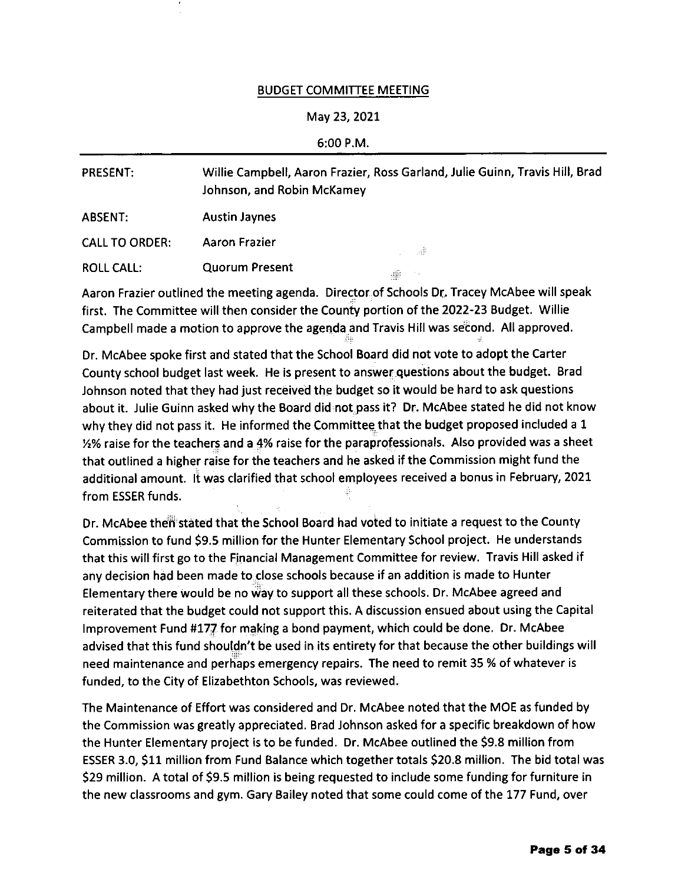## BUDGET COMMITTEE MEETING

## Mav 23,202t

## 6:00 P.M.

| <b>PRESENT:</b>       | Willie Campbell, Aaron Frazier, Ross Garland, Julie Guinn, Travis Hill, Brad<br>Johnson, and Robin McKamey |         |
|-----------------------|------------------------------------------------------------------------------------------------------------|---------|
| ABSENT:               | <b>Austin Jaynes</b>                                                                                       |         |
| <b>CALL TO ORDER:</b> | Aaron Frazier                                                                                              | o salah |
| <b>ROLL CALL:</b>     | <b>Quorum Present</b>                                                                                      | ma.     |

Aaron Frazier outlined the meeting agenda. Director of Schools Dr. Tracey McAbee will speak first. The Committee will then consider the County portion of the 2022-23 Budget. Willie Campbell made a motion to approve the agenda and Travis Hill was second. All approved.

Dr. McAbee spoke first and stated that the School Board did not vote to adopt the Carter County school budget last week. He is present to answer questions about the budget. Brad Johnson noted that they had just received the budget so it would be hard to ask questions about it. Julie Guinn asked why the Board did not pass it? Dr. McAbee stated he did not know why they did not pass it. He informed the Committee that the budget proposed included a 1  $1/2\%$  raise for the teachers and a 4% raise for the paraprofessionals. Also provided was a sheet that outlined a higher raise for the teachers and he asked if the Commission might fund the additional amount. lt was clarified that school employees received a bonus in February, 2021 from ESSER funds.

Dr. McAbee then stated that the School Board had voted to initiate a request to the County Commission to fund \$9.5 million for the Hunter Elementary School project. He understands that this will first go to the Financial Management Committee for review. Travis Hill asked if any decision had been made to close schools because if an addition is made to Hunter Elementary there would be no way to support all these schools. Dr. McAbee agreed and reiterated that the budget could not support this. A discussion ensued about using the Capital lmprovement Fund #177 for making a bond payment, which could be done. Dr. McAbee advised that this fund shouldn't be used in its entirety for that because the other buildings will need maintenance and perhaps emergency repairs. The need to remit 35 % of whatever is funded, to the City of Elizabethton Schools, was reviewed.

The Maintenance of Effort was considered and Dr. McAbee noted that the MOE as funded bv the Commission was greatly appreciated. Brad Johnson asked for a specific breakdown of how the Hunter Elementary project is to be funded. Dr. McAbee outlined the S9.8 million from ESSER 3.0, S11 million from Fund Balance which together totals 520.8 million. The bid totalwas 529 million. A total of S9.5 million is being requested to include some funding for furniture in the new classrooms and gym. Gary Bailey noted that some could come ofthe 177 Fund, over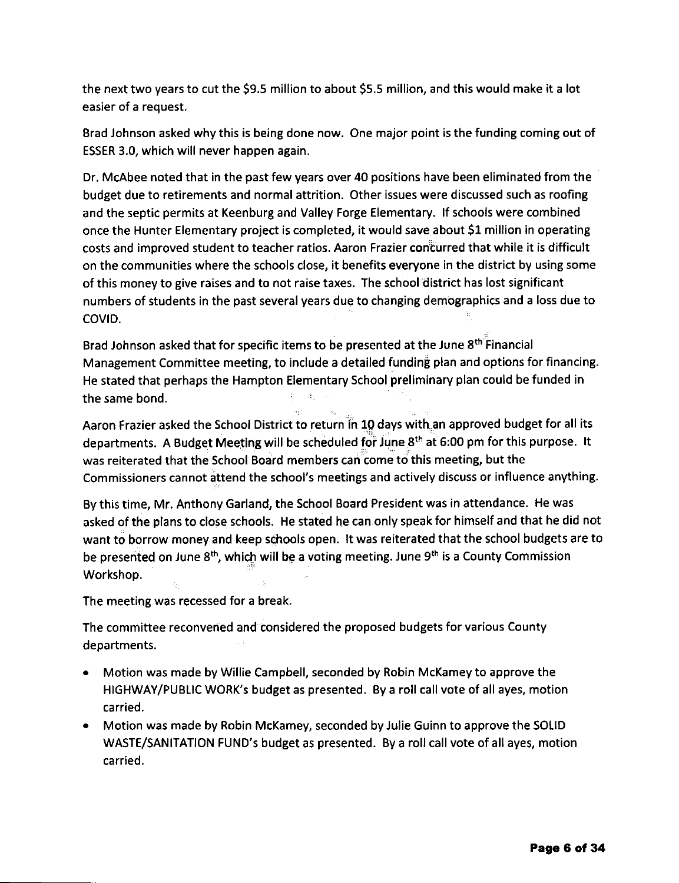the next two years to cut the S9.5 million to about S5.5 million, and this would make it a lot easier of a request.

Erad Johnson asked why this is being done now. One major point is the funding coming out of ESSER 3.0, which will never happen again.

Dr. McAbee noted that in the past few years over 40 positions have been eliminated from the budget due to retirements and normal attrition. Other issues were discussed such as roofing and the septic permits at Keenburg and Valley Forge Elementary, lf schools were combined once the Hunter Elementary project is completed, it would save about 51 million in operating costs and improved student to teacher ratios. Aaron Frazier concurred that while it is difficult on the communitles where the schools close, it benefits everyone in the district by using some of this money to give raises and to not raise taxes. The school district has lost significant numbers of students in the past several years due to changing demographics and a loss due to COVID.

Brad Johnson asked that for specific items to be presented at the June 8<sup>th</sup> Financial Management Committee meeting, to include a detailed funding plan and options for financing. He stated that perhaps the Hampton Elementary School preliminary plan could be funded in the same bond.

Aaron Frazier asked the School District to return in 10 days with an approved budget for all its departments. A Budget Meeting will be scheduled for June 8th at 6:00 pm for this purpose. lt was reiterated that the School Board members can come to this meeting, but the Commissioners cannot attend the school's meetings and actively discuss or influence anything.

By this time, Mr. Anthony Garland, the School Board President was in attendance. He was asked of the plans to close schools. He stated he can only speak for himself and that he did not want to borrow money and keep schools open. lt was reiterated that the school budgets are to be presented on June 8<sup>th</sup>, which will be a voting meeting. June 9<sup>th</sup> is a County Commission Workshop.

The meeting was recessed for a break.

The committee reconvened and considered the proposed budgets for various County departments.

- . Motion was made by Willie Campbell, seconded by Robin McKamey to approve the HIGHWAY/PUBLIC WORK'S budget as presented. By a roll call vote of all ayes, motion ca rried.
- . Motion was made by Robin McKamey, seconded by Julie Guinn to approve the SOLID WASTE/SANITATION FUND's budget as presented. By a roll call vote of all ayes, motion carried.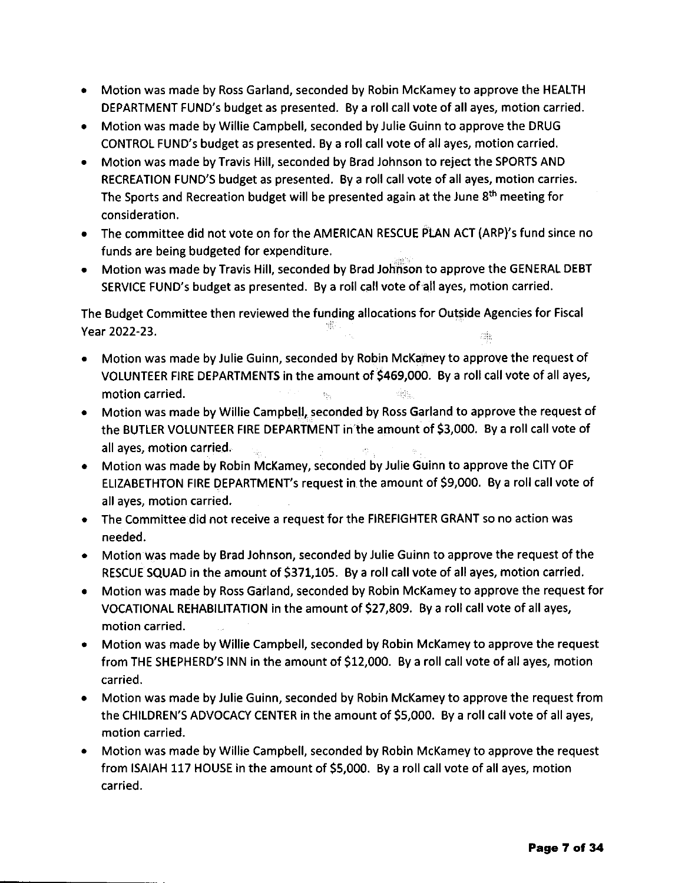- Motion was made by Ross Garland, seconded by Robin McKamey to approve the HEALTH DEPARTMENT FUND's budget as presented. By a roll call vote of all ayes, motion carried.
- Motion was made by Willie Campbell, seconded by Julie Guinn to approve the DRUG CONTROL FUND's budget as presented. By a roll call vote of all ayes, motion carried.
- Motion was made by Travis Hill, seconded by Brad Johnson to reject the SPORTS AND RECREATION FUND'S budget as presented. Bya roll call voteof all ayes, motion carries. The Sports and Recreation budget will be presented again at the June 8<sup>th</sup> meeting for consideration.
- The committee did not vote on for the AMERICAN RESCUE PLAN ACT (ARP)'s fund since no funds are being budgeted for expenditure.
- Motion was made by Travis Hill, seconded by Brad Johnson to approve the GENERAL DEBT SERVICE FUND's budget as presented. By a roll call vote of all ayes, motion carried.

The Budget Committee then reviewed the funding allocations for Outside Agencies for Fiscal Year 2022-23. 项

- o Motion was made by Julie Guinn, seconded by Robin McKamey to approve the request of VOLUNTEER FIRE DEPARTMENTS in the amount of \$469,000. By a roll call vote of all ayes, motion carried.
- . Motion was made by Willie Campbell, seconded by Ross Garland to approve the request of the BUTLER VOLUNTEER FIRE DEPARTMENT in the amount of \$3,000. By a roll call vote of all ayes, motion carried.
- Motion was made by Robin McKamey, seconded by Julie Guinn to approve the CITY OF ELIZABETHTON FIRE DEPARTMENT's request in the amount of \$9,000. By a roll call vote of all ayes, motion carried.
- The Committee did not receive a request for the FIREFIGHTER GRANT so no action was needed.
- Motion was made by Brad Johnson, seconded by Julie Guinn to approve the request of the RESCUE SQUAD in the amount of \$371,105. By a roll call vote of all ayes, motion carried.
- Motion was made by Ross Garland, seconded by Robin McKamey to approve the request for VOCATIONAL REHABILITATION in the amount of \$27,809. By a roll call vote of all ayes, motion carried.
- Motion was made by Willie Campbell, seconded by Robin McKamey to approve the request from THE SHEPHERD'S INN in the amount of 512,000. By a roll call vote of all ayes, motion carried.
- Motion was made by Julie Guinn, seconded by Robin McKamey to approve the request from the CHILDREN'S ADVOCACY CENTER in the amount of 55,000. Bya roll call voteof all ayes, motion carried.
- Motion was made by Willie Campbell, seconded by Robin McKamey to approve the request from ISAIAH 117 HOUSE in the amount of 55,000. By a roll call vote of all ayes, motion carried.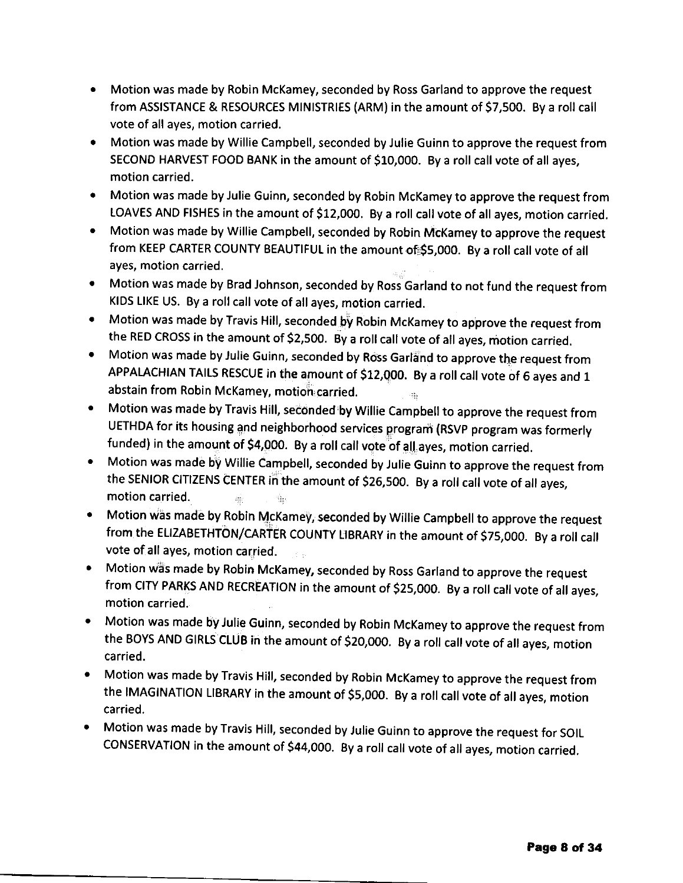- Motion was made by Robin McKamey, seconded by Ross Garland to approve the request from ASSISTANCE & RESOURCES MINISTRIES (ARM) in the amount of 57,500. By a roll call vote of all ayes, motion carried.
- Motion was made by Willie Campbell, seconded by Julie Guinn to approve the request from SECOND HARVEST FOOD BANK in the amount of \$10,000. By a roll call vote of all ayes, motion carried.
- Motion was made by Julie Guinn, seconded by Robin McKamey to approve the request from LOAVES AND FISHES in the amount of \$12,000. By a roll call vote of all ayes, motion carried.
- $\bullet$ Motion was made by Willie Campbell, seconded by Robin McKamey to approve the request from KEEP CARTER COUNTY BEAUTIFUL in the amount of \$5,000. By a roll call vote of all ayes, motion carried.
- Motion was made by Brad Johnson, seconded by Ross Garland to not fund the request from KIDS LIKE US. By a roll call vote of all ayes, motion carried.
- Motion was made by Travis Hill, seconded by Robin McKamey to approve the request from the RED CROSS in the amount of \$2,500. By a roll call vote of all ayes, motion carried.
- Motion was made by Julie Guinn, seconded by Ross Garland to approve the request from APPALACHIAN TAILS RESCUE in the amount of \$12,000. By a roll call vote of 6 ayes and 1 abstain from Robin McKamey, motion carried.
- Motion was made by Travis Hill, seconded by Willie Campbell to approve the request from  $\bullet$ UETHDA for its housing and neighborhood services program (RSVp program was formerly funded) in the amount of \$4,000. By a roll call vote of all ayes, motion carried.
- Motion was made by willie campbell, seconded by Julie Guinn to approve the request from the SENIOR CITIZENS CENTER in the amount of \$26,500. By a roll call vote of all ayes, motion carried. ġ.  $\frac{1}{2} \frac{d}{dt}$
- Motion was made by Robin McKamey, seconded by Willie Campbell to approve the request from the ELIZABETHTON/CARTER COUNTY LIBRARY in the amount of \$75,000. By a roll call vote of all ayes, motion carried.
- Motion was made by Robin McKamey, seconded by Ross Garland to approve the request from CITY PARKS AND RECREATION in the amount of \$25,000. By a roll call vote of all ayes, motion carried.
- Motion was made by Julie Guinn, seconded by Robin McKamey to approve the request from the BOYS AND GIRLS CLUB in the amount of \$20,000. By a roll call vote of all ayes, motion carried.
- Motion was made by Travis Hill, seconded by Robin McKamey to approve the request from the IMAGINATION LIBRARY in the amount of 55,000. By a roll call vote of all ayes, motion carried.
- Motion was made by Travis Hill, seconded by Julie Guinn to approve the request for SOIL coNsERVATloN in the amount of s44,ooo. By a roll call voteofall ayes, motion carried.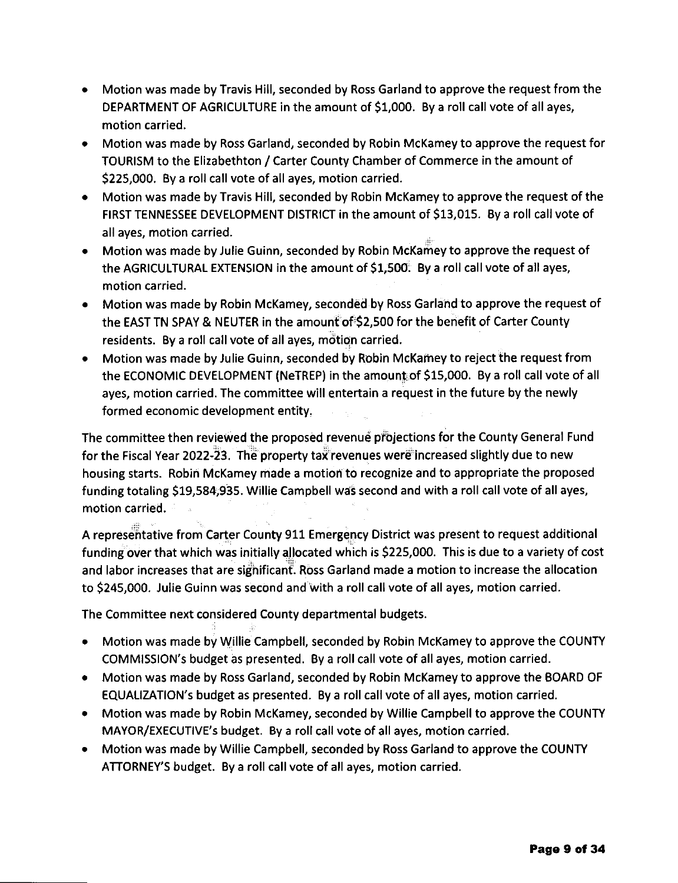- Motion was made by Travis Hill, seconded by Ross Garland to approve the request from the DEPARTMENT oF AGRICULTURE in the amount of 51,000. By a roll call vote of all ayes, motion carried.
- . Motion was made by Ross Garland, seconded by Robin McKamey to approve the request for TOURISM to the Elizabethton / Carter County Chamber of Commerce in the amount of \$225,000. By a roll call vote of all ayes, motion carried.
- . Motion was made by Travis Hill, seconded by Robin McKamey to approve the request of the FIRST TENNESSEE DEVELOPMENT DISTRICT in the amount of \$13,015. By a roll call vote of all ayes, motion carried.
- . Motion was made by Julie Guinn, seconded by Robin McKamey to approve the request of the AGRICULTURAL EXTENSION in the amount of \$1,500. By a roll call vote of all ayes, motion carried.
- . Motion was made by Robin McKamey, seconded by Ross Garland to approve the request of the EAST TN SPAY & NEUTER in the amount of S2,5OO for the benefit of Carter County residents. By a roll call vote of all ayes, motion carried.
- Motion was made by Julie Guinn, seconded by Robin McKamey to reject the request from the ECONOMIC DEVELOPMENT (NeTREP) in the amount of \$15,000. By a roll call vote of all ayes, motion carried. The committee will entertain a request in the future by the newly formed economic development entity.

The committee then reviewed the proposed revenue projections for the County General Fund for the Fiscal Year 2022-23. The property tax revenues were increased slightly due to new housing starts. Robin McKamey made a motion to recognize and to appropriate the proposed funding totaling 519,584,935. Willie Campbell was second and with a roll call vote of all ayes, motion carried.

A representative from Carter County 911 Emergency District was present to request additional funding over that which was initially allocated which is S225,OOO. This is due to a variety of cost and labor increases that are significant. Ross Garland made a motion to increase the allocation to 5245,000. Julie Guinn was second and with a roll call vote of all ayes, motion carried.

The Committee next considered County departmental budgets.

- . Motion was made by Willie Campbell, seconded by Robin McKamey to approve the COUNTY COMMISSION'S budget as presented. By a roll call vote of all ayes, motion carried.
- . Motion was made by Ross Garland, seconded by Robin McKameyto approve the BOARD OF EQUALIZATION's budget as presented. Bya roll call voteof all ayes, motion carried.
- . Motion was made by Robin McKamey, seconded by Willie Campbell to approve the COUNTY MAYOR/EXECUTIVE's budget. By a roll call vote of all ayes, motion carried.
- . Motion was made by Willie Campbell, seconded by Ross Garland to approve the COUNW ATTORNEY'S budget. By a roll call vote of all ayes, motion carried.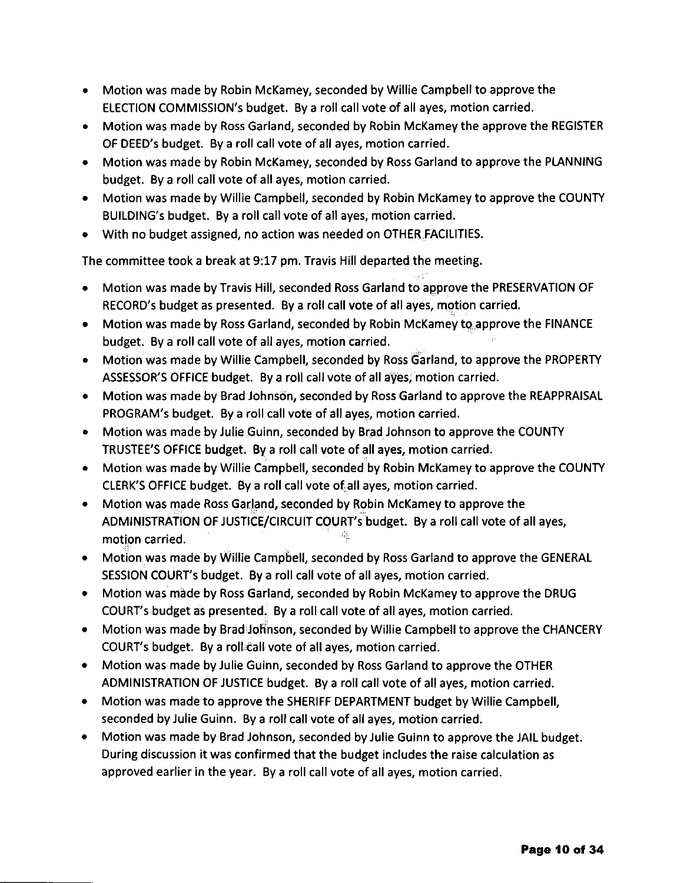- . Motion was made by Robin McKamey, seconded by Willie Campbell to approve the ELECTION COMMISSION's budget. By a roll call vote of all ayes, motion carried.
- . Motion was made by Ross Garland, seconded by Robin McKamey the approve the REGISTER OF DEED's budget. By a roll call vote of all ayes, motion carried.
- . Motion was made by Robin McKamey, seconded by Ross Garland to approve the PLANNING budget. By a roll call vote of all ayes, motion carried.
- . Motion was made by Willie Campbell, seconded by Robin McKamey to approve the COUNTY BUILDING's budget. By a roll call vote of all ayes, motion carried.
- o With no budget assigned, no action was needed on OTHER FACILITIES.

The committee took a break at 9:17 pm. Travis Hill departed the meeting.

- . Motion was made byTravis Hill, seconded Ross Garland to approve the PRESERVATION oF RECORD's budget as presented. Byaroll call voteof all ayes, motion carried.
- . Motion was made by Ross Garland, seconded by Robin McKamey to approve the FINANCE budget. By a roll call vote of all ayes, motion carried.
- . Motion was made by Willie Campbell, seconded by Ross Garland, to approve the PROPERTY ASSESSOR'S OFFICE budget. By a roll call vote of all ayes; motion carried.
- . Motion was made by Brad Johnson, seconded by Ross Garland to approve the REAPPRAISAL PROGRAM's budget. By a roll call vote of all ayes, motion carried.
- . Motion was made by Julie Guinn, seconded by Brad Johnson to approve the COUNTY TRUSTEE'S OFFICE budget, Bya roll call voteof all ayes, motion carried.
- . Motion was made by Willie Campbell, seconded by Robin McKamey to approve the COUNTY CLERK'S OFFICE budget. By a roll call vote ofall ayes, motion carried.
- Motion was made Ross Garland, seconded by Robin McKamey to approve the ADMINISTRATION OF JUSTICE/CIRCUIT COURT's budget. By a roll call vote of all ayes, motion carried.
- Motion was made by Willie Campbell, seconded by Ross Garland to approve the GENERAL SESSION COURT's budget. Bya roll call voteof all ayes, motion carried.
- Motion was made by Ross Garland, seconded by Robin McKamey to approve the DRUG COURT's budget as presented. By a roll call vote of all ayes, motion carried.
- Motion was made by Brad Johnson, seconded by Willie Campbell to approve the CHANCERY COURT's budget. By a roll call vote of all ayes, motion carried.
- Motion was made by Julie Guinn, seconded by Ross Garland to approve the OTHER ADMINISTRATION OF JUSTICE budget. By a roll call vote of all ayes, motion carried.
- Motion was made to approve the SHERIFF DEPARTMENT budget by Willie Campbell, seconded by Julie Guinn. By a roll call vote of all ayes, motion carried.
- Motion was made by Brad Johnson, seconded by Julie Guinn to approve the JAIL budget. During discussion it was confirmed that the budget includes the raise calculation as approved earlier in the year. By a roll call vote of all ayes, motion carried.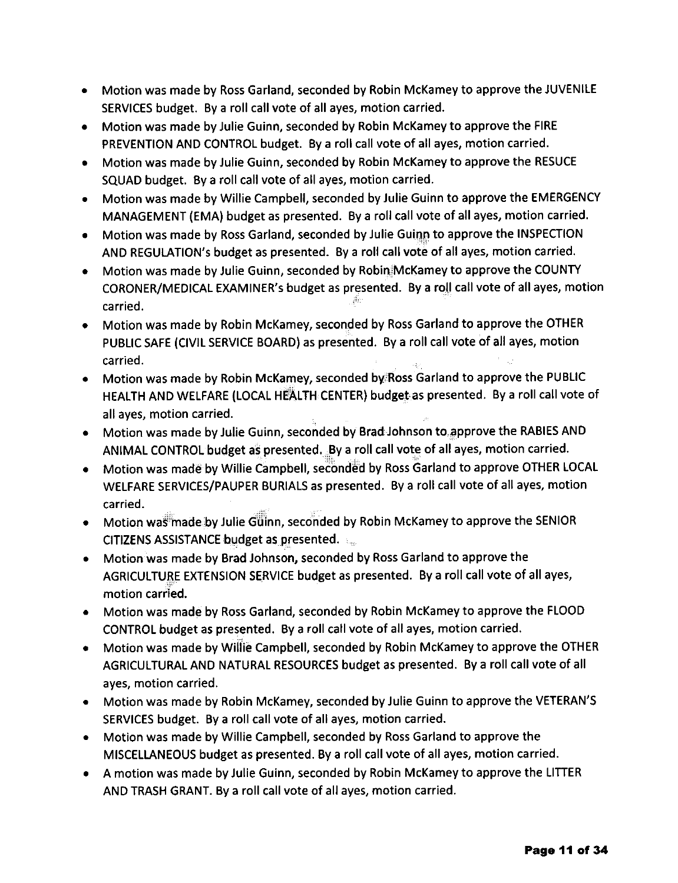- Motion was made by Ross Garland, seconded by Robin McKamey to approve the JUVENILE SERVICES budget. By a roll call vote of all ayes, motion carried.
- Motion was made by Julie Guinn, seconded by Robin McKamey to approve the FIRE PREVENTION AND CONTROL budget. By a roll call vote of all ayes, motion carried.
- Motion was made by Julie Guinn, seconded by Robin McKamey to approve the RESUCE SQUAD budget. By a roll call vote of all ayes, motion carried.
- Motion was made by Willie Campbell, seconded by Julie Guinn to approve the EMERGENCY MANAGEMENT (EMA) budget as presented. By a roll callvote of all ayes, motion carried.
- Motion was made by Ross Garland, seconded by Julie Guinn to approve the INSPECTION AND REGULATION's budget as presented. By a roll call vote of all ayes, motion carried.
- Motion was made by Julie Guinn, seconded by Robin McKamey to approve the COUNTY CORONER/MEDICAL EXAMINER's budget as presented. By a roll call vote of all ayes, motion carried.
- Motion was made by Robin McKamey, seconded by Ross Garland to approve the OTHER PUBLIC SAFE (CIVIL SERVICE BOARD) as presented. By a roll call vote of all ayes, motion carried.
- Motion was made by Robin McKamey, seconded by Ross Garland to approve the PUBLIC HEALTH AND WELFARE (LOCAL HEALTH CENTER) budget as presented. By a roll call vote of all ayes, motion carried.
- Motion was made by Julie Guinn, seconded by Brad Johnson to approve the RABIES AND ANIMAL CONTROL budget as presented. By a roll call vote of all ayes, motion carried.
- Motion was made by Willie Campbell, seconded by Ross Garland to approve OTHER LOCAL WELFARE SERVICES/PAUPER BURIALS as presented. By a roll call vote of all ayes, motion carried.
- o Motion was made by Julie Guinn, seconded by Robin McKamey to approve the SENIOR CITIZENS ASSISTANCE budget as presented.
- Motion was made by Brad Johnson, seconded by Ross Garland to approve the AGRICULTURE EXTENSION SERVICE budget as presented. By a roll call vote of all ayes, motion carried.
- Motion was made by Ross Garland, seconded by Robin McKamey to approve the FLOOD CONTROL budget as presented. By a roll call voteof all ayes, motion carried.
- Motion was made by Willie Campbell, seconded by Robin McKamey to approve the OTHER AGRICULTURALAND NATURAL RESOURCES budgetas presented. Bya roll call voteof all ayes, motion carried,
- Motion was made by Robin McKamey, seconded by Julie Guinn to approve the VETERAN'S SERVICES budget. By a roll call vote of all ayes, motion carried.
- Motion was made by Willie Campbell, seconded by Ross Garland to approve the MISCELLANEOUS budget as presented. By a roll call vote of all ayes, motion carried.
- A motion was made by Julie Guinn, seconded by Robin McKamey to approve the LITTER AND TRASH GRANT. By a roll call vote of all ayes, motion carried.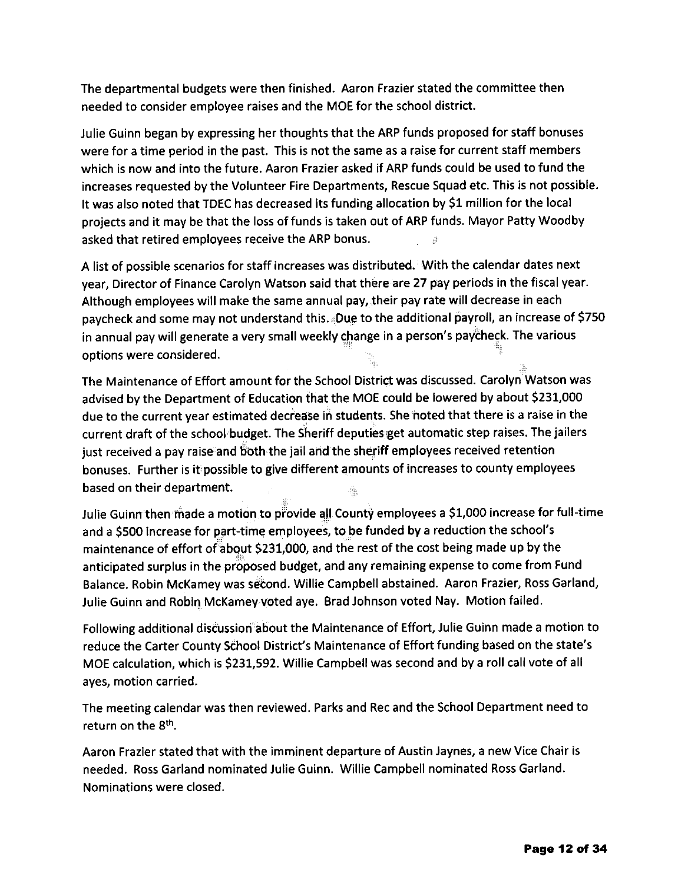The departmental budgets were then finished. Aaron Frazier stated the committee then needed to consider employee raises and the MOE for the school district.

Julie Guinn began by expressing her thoughts that the ARP funds proposed for staff bonuses were for a time period in the past. This is not the same as a raise for current staff members which is now and into the future. Aaron Frazier asked if ARP funds could be used to fund the increases requested by the Volunteer Fire Departments, Rescue Squad etc. This is not possible. It was also noted that TDEC has decreased its funding allocation by 51 million for the local projects and it may be that the loss of funds is taken out of ARP funds. Mayor Patty Woodby asked that retired employees receive the ARP bonus.

A list of possible scenarios for staff increases was distributed. With the calendar dates next year, Director of Finance Carolyn Watson said that there are 27 pay periods in the fiscal year. Although employees will make the same annual pay, their pay rate will decrease in each paycheck and some may not understand this. Due to the additional payroll, an increase of \$750 in annual pay will generate a very small weekly change in a person's paycheck. The various ootions were considered.

The Maintenance of Effort amount for the School District was discussed. Carolyn Watson was advised by the Department of Education that the MOE could be lowered by about 5231,000 due to the current year estimated decrease in students. She noted that there is a raise in the current draft of the school budget. The Sheriff deputies get automatic step raises. The jailers just received a pay raise and both the jail and the sheriff employees received retention bonuses. Further is it possible to give different amounts of increases to county employees based on their department.

Julie Guinn then made a motion to provide all County employees a \$1,000 increase for full-time and a 5500 increase for part-time employees, to be funded by a reduction the school's maintenance of effort of about 5231,000, and the rest of the cost being made up by the anticipated surplus in the proposed budget, and any remaining expense to come from Fund Balance. Robin McKamey was second. Willie Campbell abstained. Aaron Frazier, Ross Garland, Julie Guinn and Robin McKamey voted aye. Brad Johnson voted Nay. Motion failed.

Following additional discussion about the Maintenance of Effort, Julie Guinn made a motion to reduce the Carter County School District's Maintenance of Effort funding based on the state's MOE calculation, which is 5231,592. Willie Campbell was second and by a roll call vote of all ayes, motion carried.

The meeting calendar was then reviewed. Parks and Rec and the School Department need to return on the 8th.

Aaron Frazier stated that with the imminent departure of Austin Jaynes, a new Vice Chair is needed. Ross Garland nominated Julie Guinn. Willie Campbell nominated Ross Garland. Nominations were closed.